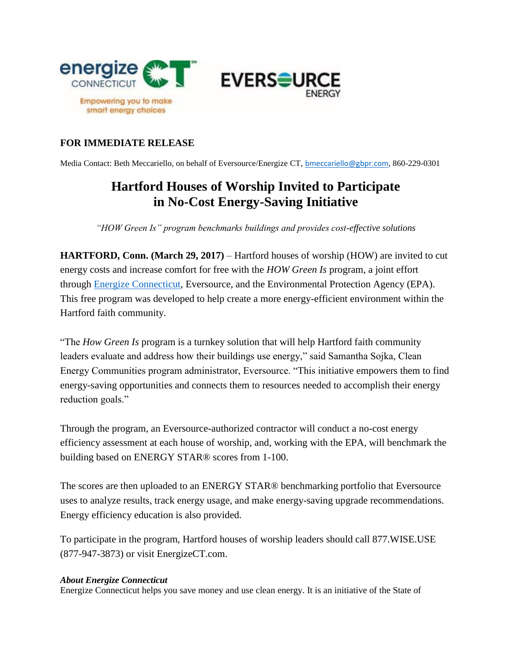

## **FOR IMMEDIATE RELEASE**

Media Contact: Beth Meccariello, on behalf of Eversource/Energize CT, [bmeccariello@gbpr.com](mailto:bmeccariello@gbpr.com), 860-229-0301

## **Hartford Houses of Worship Invited to Participate in No-Cost Energy-Saving Initiative**

*"HOW Green Is" program benchmarks buildings and provides cost-effective solutions* 

**HARTFORD, Conn. (March 29, 2017)** – Hartford houses of worship (HOW) are invited to cut energy costs and increase comfort for free with the *HOW Green Is* program, a joint effort through [Energize Connecticut,](http://www.energizect.com/) Eversource, and the Environmental Protection Agency (EPA). This free program was developed to help create a more energy-efficient environment within the Hartford faith community.

"The *How Green Is* program is a turnkey solution that will help Hartford faith community leaders evaluate and address how their buildings use energy," said Samantha Sojka, Clean Energy Communities program administrator, Eversource. "This initiative empowers them to find energy-saving opportunities and connects them to resources needed to accomplish their energy reduction goals."

Through the program, an Eversource-authorized contractor will conduct a no-cost energy efficiency assessment at each house of worship, and, working with the EPA, will benchmark the building based on ENERGY STAR® scores from 1-100.

The scores are then uploaded to an ENERGY STAR® benchmarking portfolio that Eversource uses to analyze results, track energy usage, and make energy-saving upgrade recommendations. Energy efficiency education is also provided.

To participate in the program, Hartford houses of worship leaders should call 877.WISE.USE (877-947-3873) or visit EnergizeCT.com.

## *About Energize Connecticut*

Energize Connecticut helps you save money and use clean energy. It is an initiative of the State of